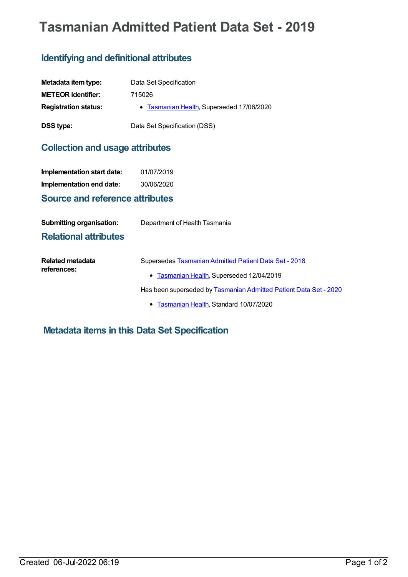# **Tasmanian Admitted Patient Data Set - 2019**

## **Identifying and definitional attributes**

| Metadata item type:         | Data Set Specification                    |
|-----------------------------|-------------------------------------------|
| <b>METEOR identifier:</b>   | 715026                                    |
| <b>Registration status:</b> | • Tasmanian Health, Superseded 17/06/2020 |
| <b>DSS type:</b>            | Data Set Specification (DSS)              |

## **Collection and usage attributes**

| Implementation start date:             | 01/07/2019 |
|----------------------------------------|------------|
| Implementation end date:               | 30/06/2020 |
| <b>Source and reference attributes</b> |            |

| <b>Submitting organisation:</b> | Department of Health Tasmania |
|---------------------------------|-------------------------------|
| <b>Relational attributes</b>    |                               |

| Related metadata<br>references: | Supersedes Tasmanian Admitted Patient Data Set - 2018             |
|---------------------------------|-------------------------------------------------------------------|
|                                 | • Tasmanian Health, Superseded 12/04/2019                         |
|                                 | Has been superseded by Tasmanian Admitted Patient Data Set - 2020 |

**[Tasmanian](https://meteor.aihw.gov.au/RegistrationAuthority/15) Health, Standard 10/07/2020** 

**Metadata items in this Data Set Specification**